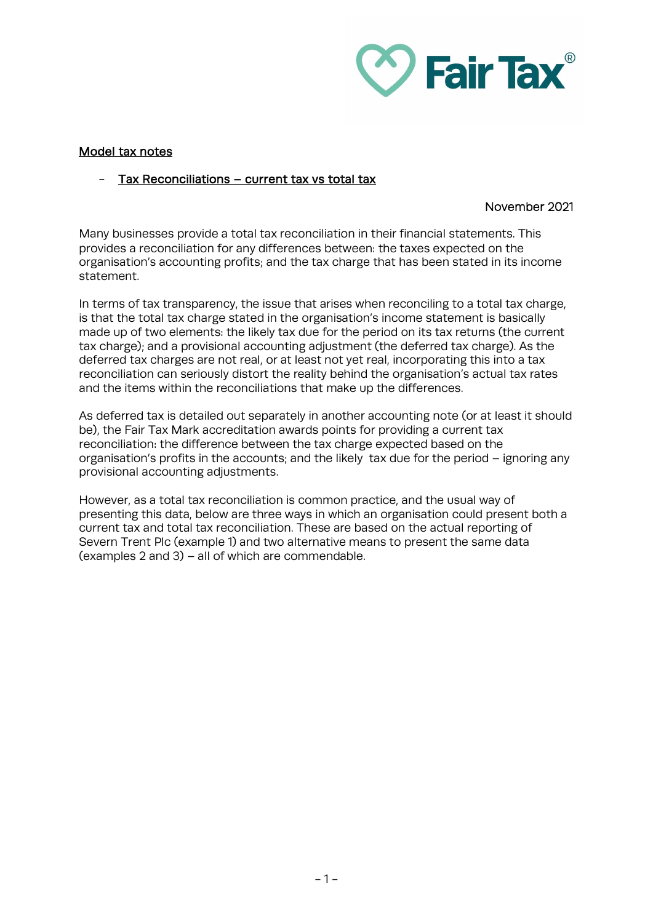

# Model tax notes

# Tax Reconciliations – current tax vs total tax

## November 2021

Many businesses provide a total tax reconciliation in their financial statements. This provides a reconciliation for any differences between: the taxes expected on the organisation's accounting profits; and the tax charge that has been stated in its income statement.

In terms of tax transparency, the issue that arises when reconciling to a total tax charge, is that the total tax charge stated in the organisation's income statement is basically made up of two elements: the likely tax due for the period on its tax returns (the current tax charge); and a provisional accounting adjustment (the deferred tax charge). As the deferred tax charges are not real, or at least not yet real, incorporating this into a tax reconciliation can seriously distort the reality behind the organisation's actual tax rates and the items within the reconciliations that make up the differences.

As deferred tax is detailed out separately in another accounting note (or at least it should be), the Fair Tax Mark accreditation awards points for providing a current tax reconciliation: the difference between the tax charge expected based on the organisation's profits in the accounts; and the likely tax due for the period – ignoring any provisional accounting adjustments.

However, as a total tax reconciliation is common practice, and the usual way of presenting this data, below are three ways in which an organisation could present both a current tax and total tax reconciliation. These are based on the actual reporting of Severn Trent Plc (example 1) and two alternative means to present the same data (examples 2 and 3) – all of which are commendable.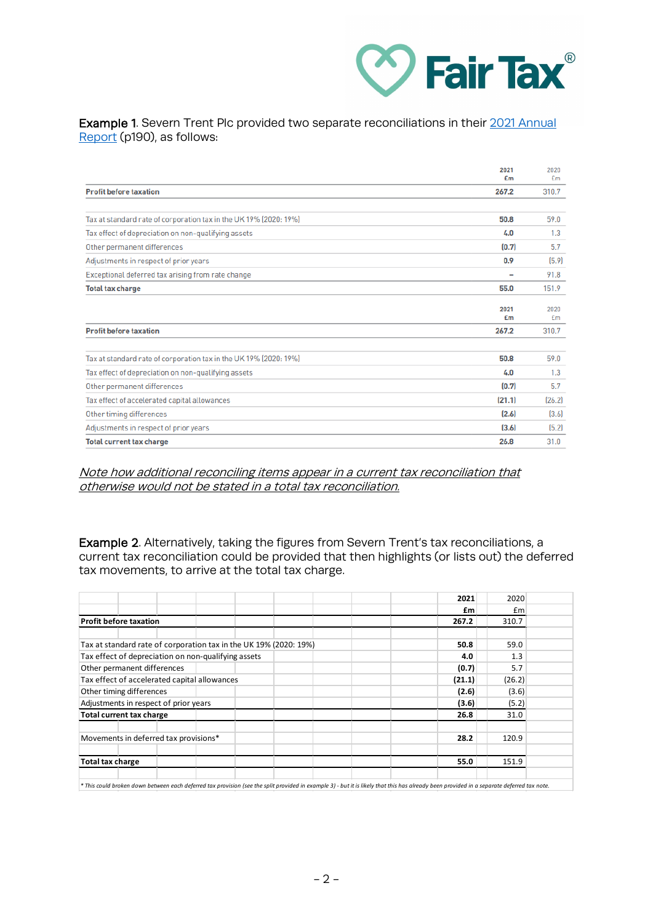

## Example 1. Severn Trent Plc provided two separate reconciliations in their 2021 Annual [Report](https://www.severntrent.com/content/dam/stw-plc/shareholder-resources/ara-annual-report-2021.pdf) (p190), as follows:

|                                                                   | 2021<br>£m | 2020<br>£m |
|-------------------------------------------------------------------|------------|------------|
| <b>Profit before taxation</b>                                     | 267.2      | 310.7      |
|                                                                   |            |            |
| Tax at standard rate of corporation tax in the UK 19% (2020: 19%) | 50.8       | 59.0       |
| Tax effect of depreciation on non-qualifying assets               | 4.0        | 1.3        |
| Other permanent differences                                       | (0.7)      | 5.7        |
| Adjustments in respect of prior years                             | 0.9        | [5.9]      |
| Exceptional deferred tax arising from rate change                 | -          | 91.8       |
| <b>Total tax charge</b>                                           | 55.0       | 151.9      |
|                                                                   | 2021<br>Em | 2020<br>£m |
| <b>Profit before taxation</b>                                     | 267.2      | 310.7      |
| Tax at standard rate of corporation tax in the UK 19% (2020: 19%) | 50.8       | 59.0       |
| Tax effect of depreciation on non-qualifying assets               | 4.0        | 1.3        |
| Other permanent differences                                       | (0.7)      | 5.7        |
| Tax effect of accelerated capital allowances                      | (21.1)     | [26.2]     |
| Other timing differences                                          | (2.6)      | [3.6]      |
| Adjustments in respect of prior years                             | (3.6)      | (5.2)      |
| <b>Total current tax charge</b>                                   | 26.8       | 31.0       |

### Note how additional reconciling items appear in a current tax reconciliation that otherwise would not be stated in a total tax reconciliation.

Example 2. Alternatively, taking the figures from Severn Trent's tax reconciliations, a current tax reconciliation could be provided that then highlights (or lists out) the deferred tax movements, to arrive at the total tax charge.

|                                                                   | 2021   | 2020   |
|-------------------------------------------------------------------|--------|--------|
|                                                                   | £m     | £m     |
| <b>Profit before taxation</b>                                     | 267.2  | 310.7  |
|                                                                   |        |        |
| Tax at standard rate of corporation tax in the UK 19% (2020: 19%) | 50.8   | 59.0   |
| Tax effect of depreciation on non-qualifying assets               | 4.0    | 1.3    |
| Other permanent differences                                       | (0.7)  | 5.7    |
| Tax effect of accelerated capital allowances                      | (21.1) | (26.2) |
| Other timing differences                                          | (2.6)  | (3.6)  |
| Adjustments in respect of prior years                             | (3.6)  | (5.2)  |
| <b>Total current tax charge</b>                                   | 26.8   | 31.0   |
| Movements in deferred tax provisions*                             | 28.2   | 120.9  |
| <b>Total tax charge</b>                                           | 55.0   | 151.9  |
|                                                                   |        |        |

*\* This could broken down between each deferred tax provision (see the split provided in example 3) - but it is likely that this has already been provided in a separate deferred tax note.*